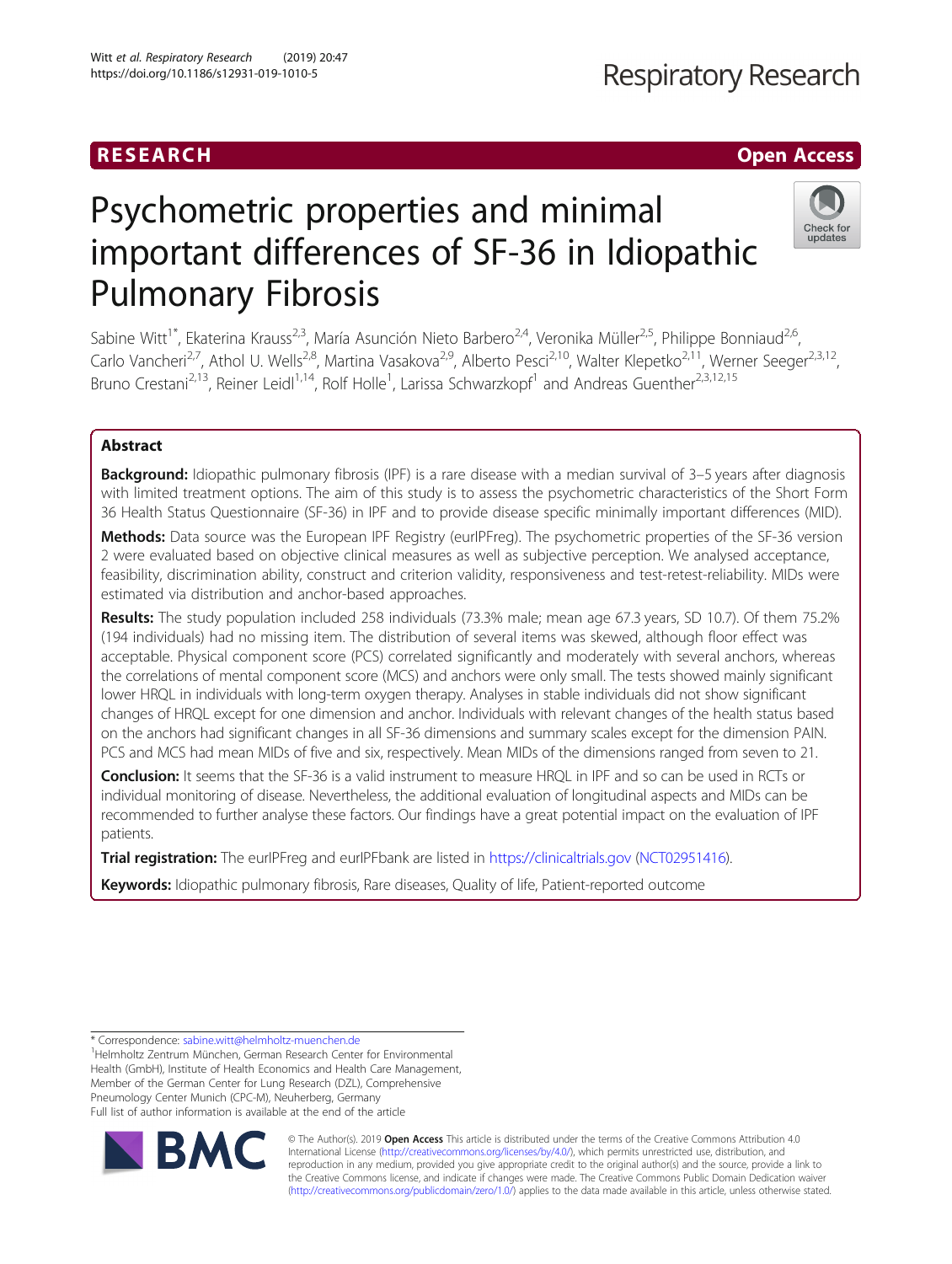### RESEARCH **RESEARCH** Open Access

## **Respiratory Research**

Check for updates

# Psychometric properties and minimal important differences of SF-36 in Idiopathic Pulmonary Fibrosis

Sabine Witt<sup>1\*</sup>, Ekaterina Krauss<sup>2,3</sup>, María Asunción Nieto Barbero<sup>2,4</sup>, Veronika Müller<sup>2,5</sup>, Philippe Bonniaud<sup>2,6</sup>, Carlo Vancheri<sup>2,7</sup>, Athol U. Wells<sup>2,8</sup>, Martina Vasakova<sup>2,9</sup>, Alberto Pesci<sup>2,10</sup>, Walter Klepetko<sup>2,11</sup>, Werner Seeger<sup>2,3,12</sup>, Bruno Crestani<sup>2,13</sup>, Reiner Leidl<sup>1,14</sup>, Rolf Holle<sup>1</sup>, Larissa Schwarzkopf<sup>1</sup> and Andreas Guenther<sup>2,3,12,15</sup>

### Abstract

**Background:** Idiopathic pulmonary fibrosis (IPF) is a rare disease with a median survival of 3–5 years after diagnosis with limited treatment options. The aim of this study is to assess the psychometric characteristics of the Short Form 36 Health Status Questionnaire (SF-36) in IPF and to provide disease specific minimally important differences (MID).

Methods: Data source was the European IPF Registry (eurIPFreg). The psychometric properties of the SF-36 version 2 were evaluated based on objective clinical measures as well as subjective perception. We analysed acceptance, feasibility, discrimination ability, construct and criterion validity, responsiveness and test-retest-reliability. MIDs were estimated via distribution and anchor-based approaches.

Results: The study population included 258 individuals (73.3% male; mean age 67.3 years, SD 10.7). Of them 75.2% (194 individuals) had no missing item. The distribution of several items was skewed, although floor effect was acceptable. Physical component score (PCS) correlated significantly and moderately with several anchors, whereas the correlations of mental component score (MCS) and anchors were only small. The tests showed mainly significant lower HRQL in individuals with long-term oxygen therapy. Analyses in stable individuals did not show significant changes of HRQL except for one dimension and anchor. Individuals with relevant changes of the health status based on the anchors had significant changes in all SF-36 dimensions and summary scales except for the dimension PAIN. PCS and MCS had mean MIDs of five and six, respectively. Mean MIDs of the dimensions ranged from seven to 21.

Conclusion: It seems that the SF-36 is a valid instrument to measure HRQL in IPF and so can be used in RCTs or individual monitoring of disease. Nevertheless, the additional evaluation of longitudinal aspects and MIDs can be recommended to further analyse these factors. Our findings have a great potential impact on the evaluation of IPF patients.

Trial registration: The eurIPFreg and eurIPFbank are listed in <https://clinicaltrials.gov> [\(NCT02951416](https://clinicaltrials.gov/ct2/show/NCT02951416)).

Keywords: Idiopathic pulmonary fibrosis, Rare diseases, Quality of life, Patient-reported outcome

<sup>&</sup>lt;sup>1</sup>Helmholtz Zentrum München, German Research Center for Environmental Health (GmbH), Institute of Health Economics and Health Care Management, Member of the German Center for Lung Research (DZL), Comprehensive Pneumology Center Munich (CPC-M), Neuherberg, Germany Full list of author information is available at the end of the article



© The Author(s). 2019 **Open Access** This article is distributed under the terms of the Creative Commons Attribution 4.0 International License [\(http://creativecommons.org/licenses/by/4.0/](http://creativecommons.org/licenses/by/4.0/)), which permits unrestricted use, distribution, and reproduction in any medium, provided you give appropriate credit to the original author(s) and the source, provide a link to the Creative Commons license, and indicate if changes were made. The Creative Commons Public Domain Dedication waiver [\(http://creativecommons.org/publicdomain/zero/1.0/](http://creativecommons.org/publicdomain/zero/1.0/)) applies to the data made available in this article, unless otherwise stated.

<sup>\*</sup> Correspondence: [sabine.witt@helmholtz-muenchen.de](mailto:sabine.witt@helmholtz-muenchen.de) <sup>1</sup>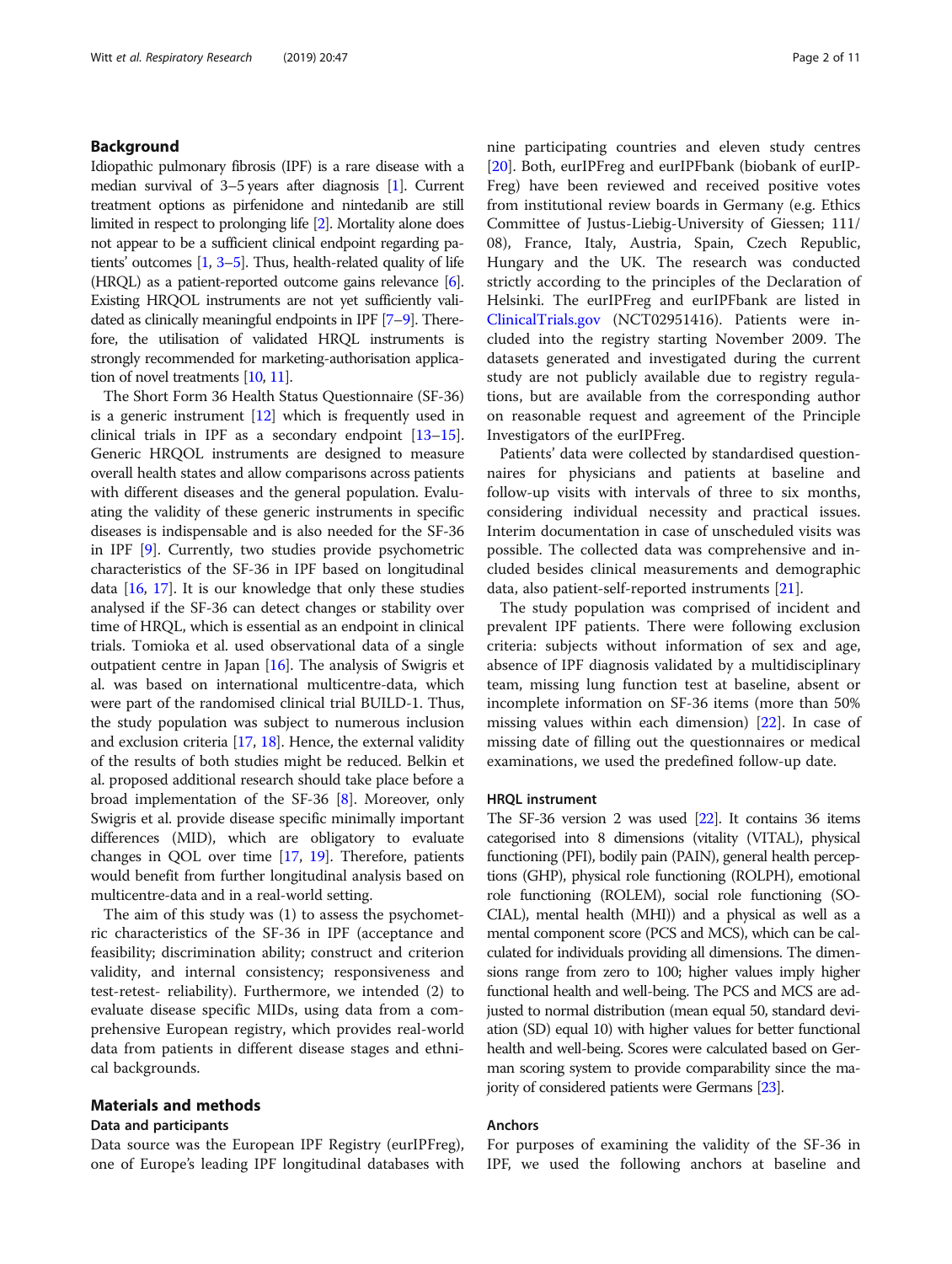#### Background

Idiopathic pulmonary fibrosis (IPF) is a rare disease with a median survival of 3–5 years after diagnosis [\[1\]](#page-9-0). Current treatment options as pirfenidone and nintedanib are still limited in respect to prolonging life [[2](#page-9-0)]. Mortality alone does not appear to be a sufficient clinical endpoint regarding patients' outcomes [\[1,](#page-9-0) [3](#page-9-0)–[5\]](#page-9-0). Thus, health-related quality of life  $(HROL)$  as a patient-reported outcome gains relevance  $[6]$  $[6]$ . Existing HRQOL instruments are not yet sufficiently validated as clinically meaningful endpoints in IPF [[7](#page-9-0)–[9\]](#page-9-0). Therefore, the utilisation of validated HRQL instruments is strongly recommended for marketing-authorisation application of novel treatments [\[10](#page-9-0), [11](#page-9-0)].

The Short Form 36 Health Status Questionnaire (SF-36) is a generic instrument [\[12\]](#page-9-0) which is frequently used in clinical trials in IPF as a secondary endpoint [\[13](#page-9-0)–[15](#page-9-0)]. Generic HRQOL instruments are designed to measure overall health states and allow comparisons across patients with different diseases and the general population. Evaluating the validity of these generic instruments in specific diseases is indispensable and is also needed for the SF-36 in IPF [[9](#page-9-0)]. Currently, two studies provide psychometric characteristics of the SF-36 in IPF based on longitudinal data  $[16, 17]$  $[16, 17]$  $[16, 17]$  $[16, 17]$ . It is our knowledge that only these studies analysed if the SF-36 can detect changes or stability over time of HRQL, which is essential as an endpoint in clinical trials. Tomioka et al. used observational data of a single outpatient centre in Japan [[16](#page-9-0)]. The analysis of Swigris et al. was based on international multicentre-data, which were part of the randomised clinical trial BUILD-1. Thus, the study population was subject to numerous inclusion and exclusion criteria [[17](#page-9-0), [18\]](#page-9-0). Hence, the external validity of the results of both studies might be reduced. Belkin et al. proposed additional research should take place before a broad implementation of the SF-36 [\[8](#page-9-0)]. Moreover, only Swigris et al. provide disease specific minimally important differences (MID), which are obligatory to evaluate changes in QOL over time [[17](#page-9-0), [19](#page-9-0)]. Therefore, patients would benefit from further longitudinal analysis based on multicentre-data and in a real-world setting.

The aim of this study was (1) to assess the psychometric characteristics of the SF-36 in IPF (acceptance and feasibility; discrimination ability; construct and criterion validity, and internal consistency; responsiveness and test-retest- reliability). Furthermore, we intended (2) to evaluate disease specific MIDs, using data from a comprehensive European registry, which provides real-world data from patients in different disease stages and ethnical backgrounds.

#### Materials and methods

#### Data and participants

Data source was the European IPF Registry (eurIPFreg), one of Europe's leading IPF longitudinal databases with nine participating countries and eleven study centres [[20\]](#page-9-0). Both, eurIPFreg and eurIPFbank (biobank of eurIP-Freg) have been reviewed and received positive votes from institutional review boards in Germany (e.g. Ethics Committee of Justus-Liebig-University of Giessen; 111/ 08), France, Italy, Austria, Spain, Czech Republic, Hungary and the UK. The research was conducted strictly according to the principles of the Declaration of Helsinki. The eurIPFreg and eurIPFbank are listed in [ClinicalTrials.gov](http://clinicaltrials.gov) (NCT02951416). Patients were included into the registry starting November 2009. The datasets generated and investigated during the current study are not publicly available due to registry regulations, but are available from the corresponding author on reasonable request and agreement of the Principle Investigators of the eurIPFreg.

Patients' data were collected by standardised questionnaires for physicians and patients at baseline and follow-up visits with intervals of three to six months, considering individual necessity and practical issues. Interim documentation in case of unscheduled visits was possible. The collected data was comprehensive and included besides clinical measurements and demographic data, also patient-self-reported instruments [[21\]](#page-9-0).

The study population was comprised of incident and prevalent IPF patients. There were following exclusion criteria: subjects without information of sex and age, absence of IPF diagnosis validated by a multidisciplinary team, missing lung function test at baseline, absent or incomplete information on SF-36 items (more than 50% missing values within each dimension) [\[22](#page-9-0)]. In case of missing date of filling out the questionnaires or medical examinations, we used the predefined follow-up date.

#### HRQL instrument

The SF-36 version 2 was used [\[22\]](#page-9-0). It contains 36 items categorised into 8 dimensions (vitality (VITAL), physical functioning (PFI), bodily pain (PAIN), general health perceptions (GHP), physical role functioning (ROLPH), emotional role functioning (ROLEM), social role functioning (SO-CIAL), mental health (MHI)) and a physical as well as a mental component score (PCS and MCS), which can be calculated for individuals providing all dimensions. The dimensions range from zero to 100; higher values imply higher functional health and well-being. The PCS and MCS are adjusted to normal distribution (mean equal 50, standard deviation (SD) equal 10) with higher values for better functional health and well-being. Scores were calculated based on German scoring system to provide comparability since the majority of considered patients were Germans [\[23\]](#page-9-0).

#### Anchors

For purposes of examining the validity of the SF-36 in IPF, we used the following anchors at baseline and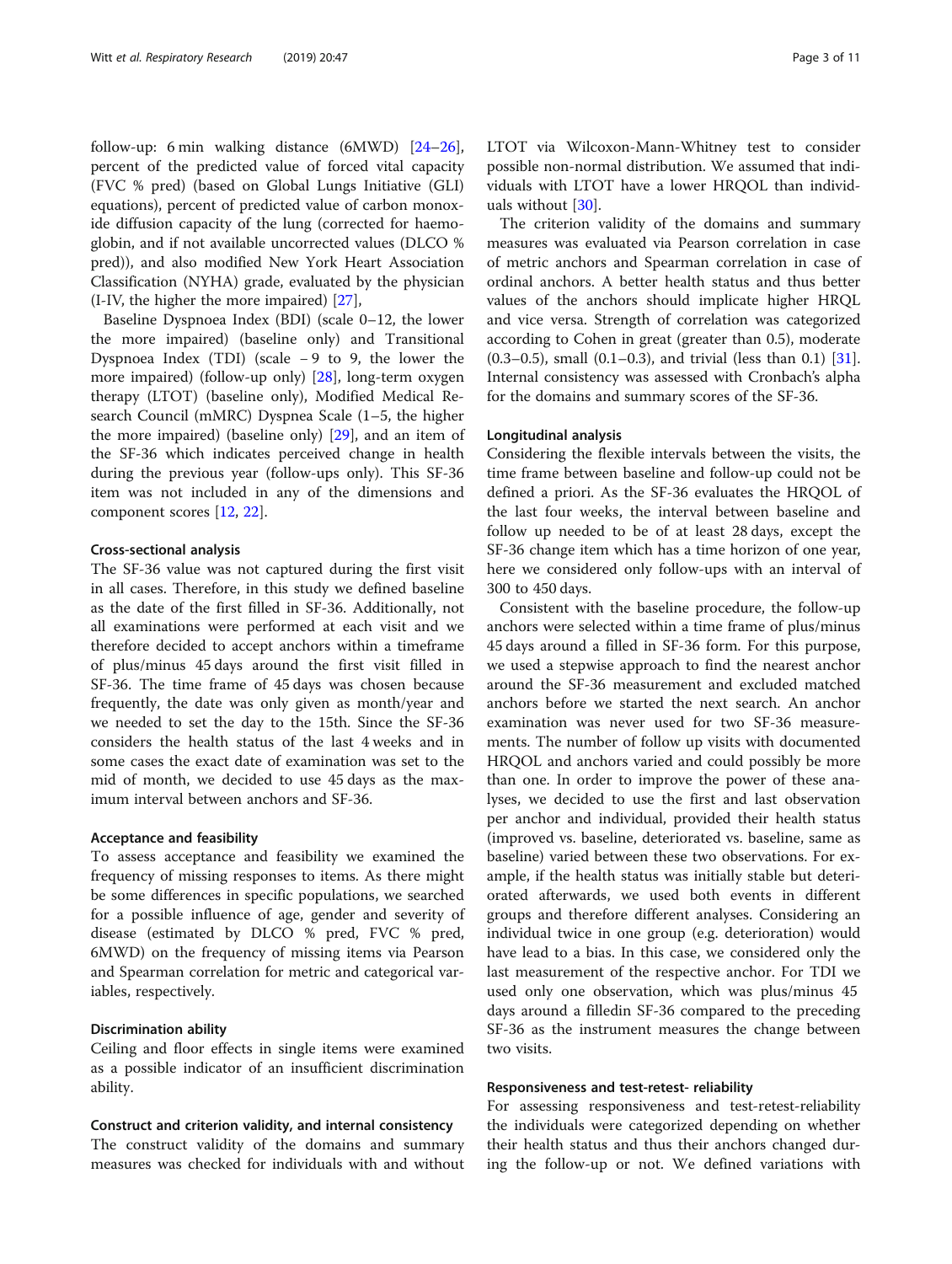follow-up: 6 min walking distance (6MWD) [[24](#page-9-0)–[26](#page-9-0)], percent of the predicted value of forced vital capacity (FVC % pred) (based on Global Lungs Initiative (GLI) equations), percent of predicted value of carbon monoxide diffusion capacity of the lung (corrected for haemoglobin, and if not available uncorrected values (DLCO % pred)), and also modified New York Heart Association Classification (NYHA) grade, evaluated by the physician (I-IV, the higher the more impaired) [\[27](#page-9-0)],

Baseline Dyspnoea Index (BDI) (scale 0–12, the lower the more impaired) (baseline only) and Transitional Dyspnoea Index (TDI) (scale − 9 to 9, the lower the more impaired) (follow-up only) [\[28](#page-10-0)], long-term oxygen therapy (LTOT) (baseline only), Modified Medical Research Council (mMRC) Dyspnea Scale (1–5, the higher the more impaired) (baseline only) [\[29\]](#page-10-0), and an item of the SF-36 which indicates perceived change in health during the previous year (follow-ups only). This SF-36 item was not included in any of the dimensions and component scores [\[12](#page-9-0), [22](#page-9-0)].

#### Cross-sectional analysis

The SF-36 value was not captured during the first visit in all cases. Therefore, in this study we defined baseline as the date of the first filled in SF-36. Additionally, not all examinations were performed at each visit and we therefore decided to accept anchors within a timeframe of plus/minus 45 days around the first visit filled in SF-36. The time frame of 45 days was chosen because frequently, the date was only given as month/year and we needed to set the day to the 15th. Since the SF-36 considers the health status of the last 4 weeks and in some cases the exact date of examination was set to the mid of month, we decided to use 45 days as the maximum interval between anchors and SF-36.

#### Acceptance and feasibility

To assess acceptance and feasibility we examined the frequency of missing responses to items. As there might be some differences in specific populations, we searched for a possible influence of age, gender and severity of disease (estimated by DLCO % pred, FVC % pred, 6MWD) on the frequency of missing items via Pearson and Spearman correlation for metric and categorical variables, respectively.

#### Discrimination ability

Ceiling and floor effects in single items were examined as a possible indicator of an insufficient discrimination ability.

#### Construct and criterion validity, and internal consistency

The construct validity of the domains and summary measures was checked for individuals with and without LTOT via Wilcoxon-Mann-Whitney test to consider possible non-normal distribution. We assumed that individuals with LTOT have a lower HRQOL than individuals without [\[30](#page-10-0)].

The criterion validity of the domains and summary measures was evaluated via Pearson correlation in case of metric anchors and Spearman correlation in case of ordinal anchors. A better health status and thus better values of the anchors should implicate higher HRQL and vice versa. Strength of correlation was categorized according to Cohen in great (greater than 0.5), moderate  $(0.3-0.5)$ , small  $(0.1-0.3)$ , and trivial (less than 0.1) [\[31](#page-10-0)]. Internal consistency was assessed with Cronbach's alpha for the domains and summary scores of the SF-36.

#### Longitudinal analysis

Considering the flexible intervals between the visits, the time frame between baseline and follow-up could not be defined a priori. As the SF-36 evaluates the HRQOL of the last four weeks, the interval between baseline and follow up needed to be of at least 28 days, except the SF-36 change item which has a time horizon of one year, here we considered only follow-ups with an interval of 300 to 450 days.

Consistent with the baseline procedure, the follow-up anchors were selected within a time frame of plus/minus 45 days around a filled in SF-36 form. For this purpose, we used a stepwise approach to find the nearest anchor around the SF-36 measurement and excluded matched anchors before we started the next search. An anchor examination was never used for two SF-36 measurements. The number of follow up visits with documented HRQOL and anchors varied and could possibly be more than one. In order to improve the power of these analyses, we decided to use the first and last observation per anchor and individual, provided their health status (improved vs. baseline, deteriorated vs. baseline, same as baseline) varied between these two observations. For example, if the health status was initially stable but deteriorated afterwards, we used both events in different groups and therefore different analyses. Considering an individual twice in one group (e.g. deterioration) would have lead to a bias. In this case, we considered only the last measurement of the respective anchor. For TDI we used only one observation, which was plus/minus 45 days around a filledin SF-36 compared to the preceding SF-36 as the instrument measures the change between two visits.

#### Responsiveness and test-retest- reliability

For assessing responsiveness and test-retest-reliability the individuals were categorized depending on whether their health status and thus their anchors changed during the follow-up or not. We defined variations with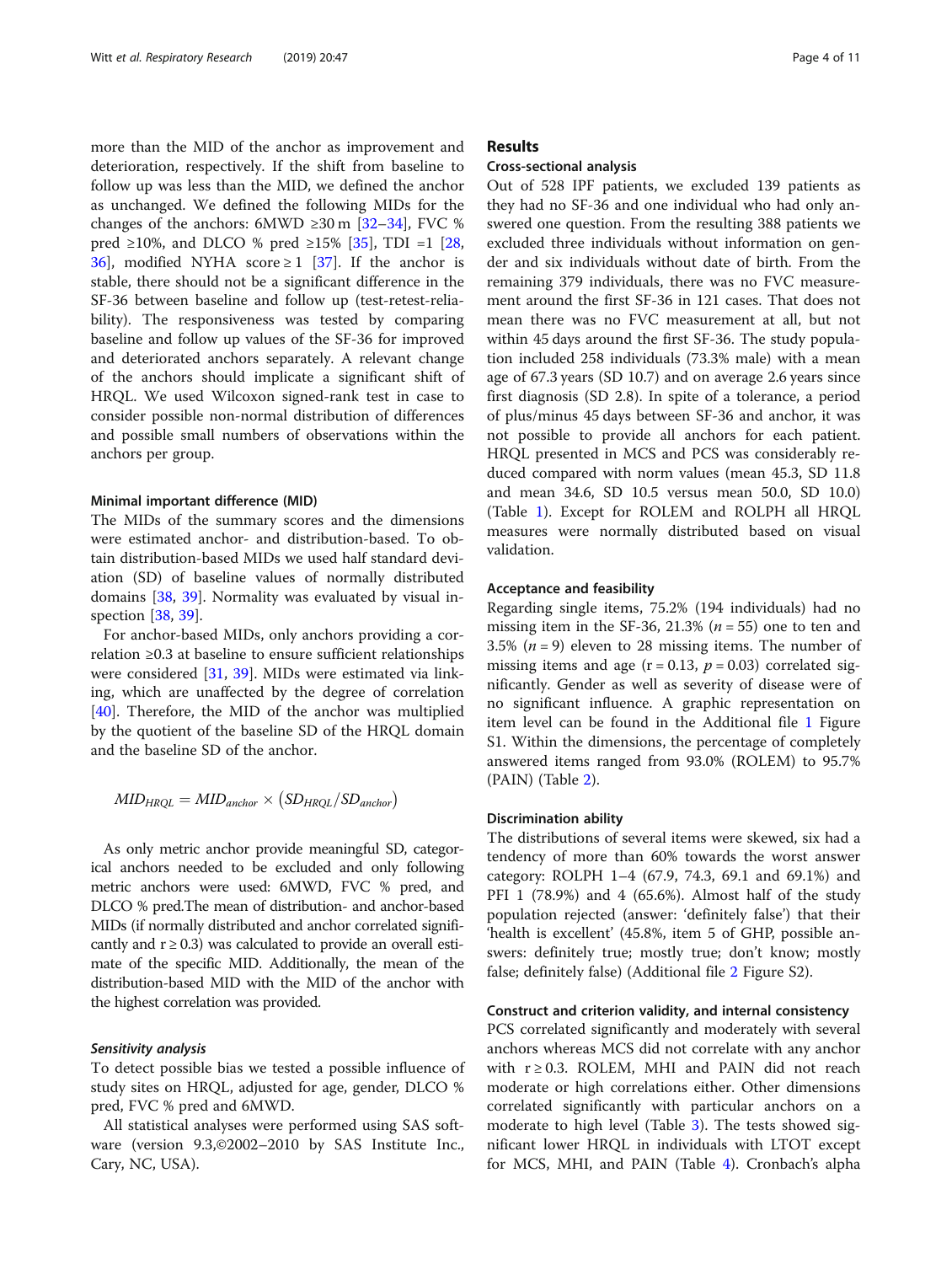more than the MID of the anchor as improvement and deterioration, respectively. If the shift from baseline to follow up was less than the MID, we defined the anchor as unchanged. We defined the following MIDs for the changes of the anchors:  $6MWD \geq 30 \text{ m}$  [\[32](#page-10-0)–[34](#page-10-0)], FVC % pred ≥10%, and DLCO % pred ≥15% [[35\]](#page-10-0), TDI =1 [[28](#page-10-0), [36\]](#page-10-0), modified NYHA score  $\geq 1$  [\[37](#page-10-0)]. If the anchor is stable, there should not be a significant difference in the SF-36 between baseline and follow up (test-retest-reliability). The responsiveness was tested by comparing baseline and follow up values of the SF-36 for improved and deteriorated anchors separately. A relevant change of the anchors should implicate a significant shift of HRQL. We used Wilcoxon signed-rank test in case to consider possible non-normal distribution of differences and possible small numbers of observations within the anchors per group.

#### Minimal important difference (MID)

The MIDs of the summary scores and the dimensions were estimated anchor- and distribution-based. To obtain distribution-based MIDs we used half standard deviation (SD) of baseline values of normally distributed domains [\[38](#page-10-0), [39\]](#page-10-0). Normality was evaluated by visual inspection [[38,](#page-10-0) [39\]](#page-10-0).

For anchor-based MIDs, only anchors providing a correlation ≥0.3 at baseline to ensure sufficient relationships were considered [\[31](#page-10-0), [39\]](#page-10-0). MIDs were estimated via linking, which are unaffected by the degree of correlation [[40\]](#page-10-0). Therefore, the MID of the anchor was multiplied by the quotient of the baseline SD of the HRQL domain and the baseline SD of the anchor.

$$
MID_{HRQL} = MID_{anchor} \times (SD_{HRQL}/SD_{anchor})
$$

As only metric anchor provide meaningful SD, categorical anchors needed to be excluded and only following metric anchors were used: 6MWD, FVC % pred, and DLCO % pred.The mean of distribution- and anchor-based MIDs (if normally distributed and anchor correlated significantly and  $r \geq 0.3$ ) was calculated to provide an overall estimate of the specific MID. Additionally, the mean of the distribution-based MID with the MID of the anchor with the highest correlation was provided.

#### Sensitivity analysis

To detect possible bias we tested a possible influence of study sites on HRQL, adjusted for age, gender, DLCO % pred, FVC % pred and 6MWD.

All statistical analyses were performed using SAS software (version 9.3,©2002–2010 by SAS Institute Inc., Cary, NC, USA).

#### Results

#### Cross-sectional analysis

Out of 528 IPF patients, we excluded 139 patients as they had no SF-36 and one individual who had only answered one question. From the resulting 388 patients we excluded three individuals without information on gender and six individuals without date of birth. From the remaining 379 individuals, there was no FVC measurement around the first SF-36 in 121 cases. That does not mean there was no FVC measurement at all, but not within 45 days around the first SF-36. The study population included 258 individuals (73.3% male) with a mean age of 67.3 years (SD 10.7) and on average 2.6 years since first diagnosis (SD 2.8). In spite of a tolerance, a period of plus/minus 45 days between SF-36 and anchor, it was not possible to provide all anchors for each patient. HRQL presented in MCS and PCS was considerably reduced compared with norm values (mean 45.3, SD 11.8 and mean 34.6, SD 10.5 versus mean 50.0, SD 10.0) (Table [1](#page-4-0)). Except for ROLEM and ROLPH all HRQL measures were normally distributed based on visual validation.

#### Acceptance and feasibility

Regarding single items, 75.2% (194 individuals) had no missing item in the SF-36, 21.3% ( $n = 55$ ) one to ten and 3.5%  $(n = 9)$  eleven to 28 missing items. The number of missing items and age  $(r = 0.13, p = 0.03)$  correlated significantly. Gender as well as severity of disease were of no significant influence. A graphic representation on item level can be found in the Additional file [1](#page-8-0) Figure S1. Within the dimensions, the percentage of completely answered items ranged from 93.0% (ROLEM) to 95.7% (PAIN) (Table [2](#page-5-0)).

#### Discrimination ability

The distributions of several items were skewed, six had a tendency of more than 60% towards the worst answer category: ROLPH 1–4 (67.9, 74.3, 69.1 and 69.1%) and PFI 1 (78.9%) and 4 (65.6%). Almost half of the study population rejected (answer: 'definitely false') that their 'health is excellent' (45.8%, item 5 of GHP, possible answers: definitely true; mostly true; don't know; mostly false; definitely false) (Additional file [2](#page-8-0) Figure S2).

#### Construct and criterion validity, and internal consistency

PCS correlated significantly and moderately with several anchors whereas MCS did not correlate with any anchor with  $r \geq 0.3$ . ROLEM, MHI and PAIN did not reach moderate or high correlations either. Other dimensions correlated significantly with particular anchors on a moderate to high level (Table [3\)](#page-5-0). The tests showed significant lower HRQL in individuals with LTOT except for MCS, MHI, and PAIN (Table [4](#page-6-0)). Cronbach's alpha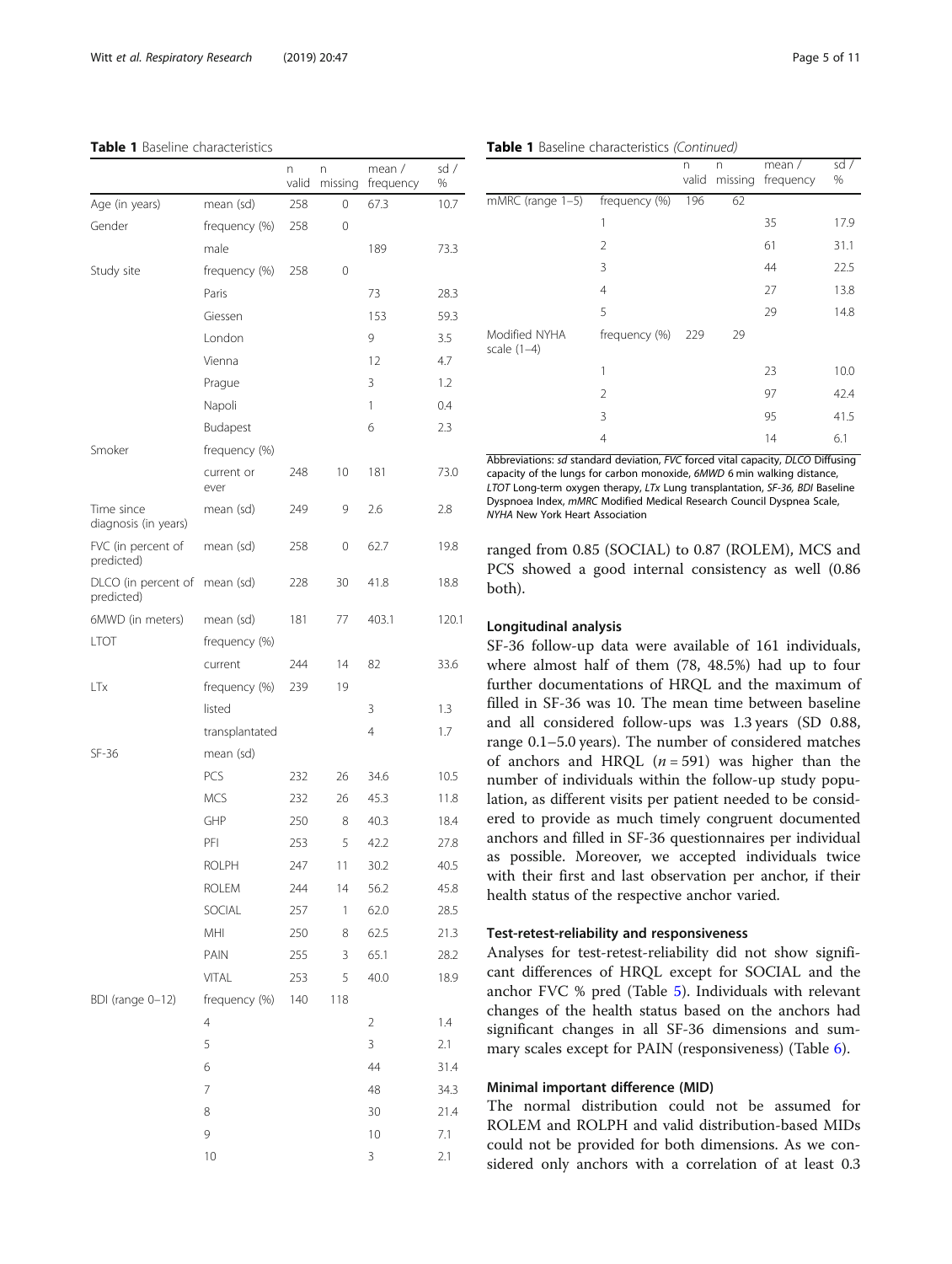#### <span id="page-4-0"></span>Table 1 Baseline characteristics

|                                    |                    | n<br>valid | n<br>missing | mean /<br>frequency | sd/<br>% |
|------------------------------------|--------------------|------------|--------------|---------------------|----------|
| Age (in years)                     | mean (sd)          | 258        | 0            | 67.3                | 10.7     |
| Gender                             | frequency (%)      | 258        | 0            |                     |          |
|                                    | male               |            |              | 189                 | 73.3     |
| Study site                         | frequency (%)      | 258        | 0            |                     |          |
|                                    | Paris              |            |              | 73                  | 28.3     |
|                                    | Giessen            |            |              | 153                 | 59.3     |
|                                    | London             |            |              | 9                   | 3.5      |
|                                    | Vienna             |            |              | 12                  | 4.7      |
|                                    | Prague             |            |              | 3                   | 1.2      |
|                                    | Napoli             |            |              | 1                   | 0.4      |
|                                    | Budapest           |            |              | 6                   | 2.3      |
| Smoker                             | frequency (%)      |            |              |                     |          |
|                                    | current or<br>ever | 248        | 10           | 181                 | 73.0     |
| Time since<br>diagnosis (in years) | mean (sd)          | 249        | 9            | 2.6                 | 2.8      |
| FVC (in percent of<br>predicted)   | mean (sd)          | 258        | 0            | 62.7                | 19.8     |
| DLCO (in percent of<br>predicted)  | mean (sd)          | 228        | 30           | 41.8                | 18.8     |
| 6MWD (in meters)                   | mean (sd)          | 181        | 77           | 403.1               | 120.1    |
| <b>LTOT</b>                        | frequency (%)      |            |              |                     |          |
|                                    | current            | 244        | 14           | 82                  | 33.6     |
| LTx                                | frequency (%)      | 239        | 19           |                     |          |
|                                    | listed             |            |              | 3                   | 1.3      |
|                                    | transplantated     |            |              | 4                   | 1.7      |
| SF-36                              | mean (sd)          |            |              |                     |          |
|                                    | PCS                | 232        | 26           | 34.6                | 10.5     |
|                                    | <b>MCS</b>         | 232        | 26           | 45.3                | 11.8     |
|                                    | GHP                | 250        | 8            | 40.3                | 18.4     |
|                                    | PFI                | 253        | 5            | 42.2                | 27.8     |
|                                    | <b>ROLPH</b>       | 247        | 11           | 30.2                | 40.5     |
|                                    | <b>ROLEM</b>       | 244        | 14           | 56.2                | 45.8     |
|                                    | SOCIAL             | 257        | 1            | 62.0                | 28.5     |
|                                    | MHI                | 250        | 8            | 62.5                | 21.3     |
|                                    | PAIN               | 255        | 3            | 65.1                | 28.2     |
|                                    | <b>VITAL</b>       | 253        | 5            | 40.0                | 18.9     |
| BDI (range 0-12)                   | frequency (%)      | 140        | 118          |                     |          |
|                                    | $\overline{4}$     |            |              | 2                   | 1.4      |
|                                    | 5                  |            |              | 3                   | 2.1      |
|                                    | 6                  |            |              | 44                  | 31.4     |
|                                    | 7                  |            |              | 48                  | 34.3     |
|                                    | 8                  |            |              | 30                  | 21.4     |
|                                    | 9                  |            |              | 10                  | 7.1      |
|                                    | 10                 |            |              | 3                   | 2.1      |

|  | Table 1 Baseline characteristics (Continued) |  |
|--|----------------------------------------------|--|
|  |                                              |  |

|               | n<br>valid | n  | mean $/$<br>frequency | sd/<br>% |
|---------------|------------|----|-----------------------|----------|
| frequency (%) | 196        | 62 |                       |          |
| 1             |            |    | 35                    | 17.9     |
| 2             |            |    | 61                    | 31.1     |
| 3             |            |    | 44                    | 22.5     |
| 4             |            |    | 27                    | 13.8     |
| 5             |            |    | 29                    | 14.8     |
| frequency (%) | 229        | 29 |                       |          |
| 1             |            |    | 23                    | 10.0     |
| 2             |            |    | 97                    | 42.4     |
| 3             |            |    | 95                    | 41.5     |
| 4             |            |    | 14                    | 6.1      |
|               |            |    |                       | missing  |

Abbreviations: sd standard deviation, FVC forced vital capacity, DLCO Diffusing capacity of the lungs for carbon monoxide, 6MWD 6 min walking distance, LTOT Long-term oxygen therapy, LTx Lung transplantation, SF-36, BDI Baseline Dyspnoea Index, mMRC Modified Medical Research Council Dyspnea Scale, NYHA New York Heart Association

ranged from 0.85 (SOCIAL) to 0.87 (ROLEM), MCS and PCS showed a good internal consistency as well (0.86 both).

#### Longitudinal analysis

SF-36 follow-up data were available of 161 individuals, where almost half of them (78, 48.5%) had up to four further documentations of HRQL and the maximum of filled in SF-36 was 10. The mean time between baseline and all considered follow-ups was 1.3 years (SD 0.88, range 0.1–5.0 years). The number of considered matches of anchors and HRQL  $(n = 591)$  was higher than the number of individuals within the follow-up study population, as different visits per patient needed to be considered to provide as much timely congruent documented anchors and filled in SF-36 questionnaires per individual as possible. Moreover, we accepted individuals twice with their first and last observation per anchor, if their health status of the respective anchor varied.

#### Test-retest-reliability and responsiveness

Analyses for test-retest-reliability did not show significant differences of HRQL except for SOCIAL and the anchor FVC % pred (Table [5\)](#page-6-0). Individuals with relevant changes of the health status based on the anchors had significant changes in all SF-36 dimensions and summary scales except for PAIN (responsiveness) (Table [6\)](#page-7-0).

#### Minimal important difference (MID)

The normal distribution could not be assumed for ROLEM and ROLPH and valid distribution-based MIDs could not be provided for both dimensions. As we considered only anchors with a correlation of at least 0.3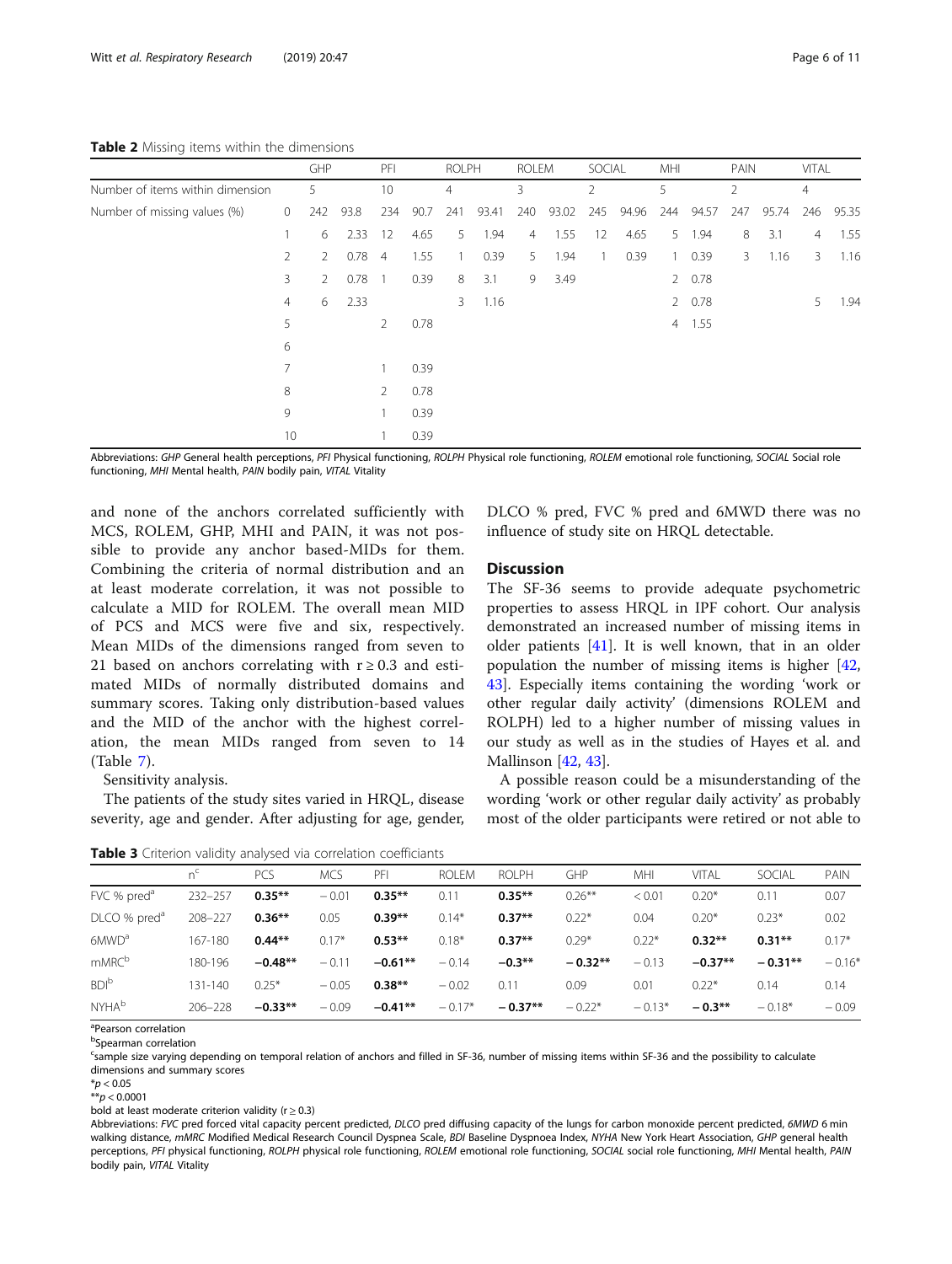<span id="page-5-0"></span>Table 2 Missing items within the dimensions

|                                  |                | GHP            |      |                | PFI  |     | <b>ROLPH</b> |     | <b>ROLEM</b> |     | SOCIAL |              | MHI    |                | PAIN  |                | VITAL |  |
|----------------------------------|----------------|----------------|------|----------------|------|-----|--------------|-----|--------------|-----|--------|--------------|--------|----------------|-------|----------------|-------|--|
| Number of items within dimension |                | 5              |      | 10             |      | 4   |              | 3   |              | 2   |        | 5            |        | $\overline{2}$ |       | 4              |       |  |
| Number of missing values (%)     | $\circ$        | 242            | 93.8 | 234            | 90.7 | 241 | 93.41        | 240 | 93.02        | 245 | 94.96  | 244          | 94.57  | 247            | 95.74 | 246            | 95.35 |  |
|                                  |                | 6              | 2.33 | 12             | 4.65 | 5   | 1.94         | 4   | 1.55         | 12  | 4.65   | 5            | 1.94   | 8              | 3.1   | $\overline{4}$ | 1.55  |  |
|                                  | $\overline{2}$ | $\overline{2}$ | 0.78 | $\overline{4}$ | 1.55 |     | 0.39         | 5   | 1.94         |     | 0.39   | $\mathbf{1}$ | 0.39   | 3              | 1.16  | 3              | 1.16  |  |
|                                  | 3              | $\overline{2}$ | 0.78 | $\overline{1}$ | 0.39 | 8   | 3.1          | 9   | 3.49         |     |        |              | 20.78  |                |       |                |       |  |
|                                  | $\overline{4}$ | 6              | 2.33 |                |      | 3   | 1.16         |     |              |     |        |              | 2 0.78 |                |       | 5              | 1.94  |  |
|                                  | 5              |                |      | 2              | 0.78 |     |              |     |              |     |        |              | 4 1.55 |                |       |                |       |  |
|                                  | 6              |                |      |                |      |     |              |     |              |     |        |              |        |                |       |                |       |  |
|                                  | 7              |                |      |                | 0.39 |     |              |     |              |     |        |              |        |                |       |                |       |  |
|                                  | 8              |                |      | 2              | 0.78 |     |              |     |              |     |        |              |        |                |       |                |       |  |
|                                  | 9              |                |      |                | 0.39 |     |              |     |              |     |        |              |        |                |       |                |       |  |
|                                  | 10             |                |      |                | 0.39 |     |              |     |              |     |        |              |        |                |       |                |       |  |

Abbreviations: GHP General health perceptions, PFI Physical functioning, ROLPH Physical role functioning, ROLEM emotional role functioning, SOCIAL Social role functioning, MHI Mental health, PAIN bodily pain, VITAL Vitality

and none of the anchors correlated sufficiently with MCS, ROLEM, GHP, MHI and PAIN, it was not possible to provide any anchor based-MIDs for them. Combining the criteria of normal distribution and an at least moderate correlation, it was not possible to calculate a MID for ROLEM. The overall mean MID of PCS and MCS were five and six, respectively. Mean MIDs of the dimensions ranged from seven to 21 based on anchors correlating with  $r \geq 0.3$  and estimated MIDs of normally distributed domains and summary scores. Taking only distribution-based values and the MID of the anchor with the highest correlation, the mean MIDs ranged from seven to 14 (Table [7\)](#page-8-0).

Sensitivity analysis.

The patients of the study sites varied in HRQL, disease severity, age and gender. After adjusting for age, gender,

Table 3 Criterion validity analysed via correlation coefficiants

DLCO % pred, FVC % pred and 6MWD there was no influence of study site on HRQL detectable.

#### **Discussion**

The SF-36 seems to provide adequate psychometric properties to assess HRQL in IPF cohort. Our analysis demonstrated an increased number of missing items in older patients [[41\]](#page-10-0). It is well known, that in an older population the number of missing items is higher [[42](#page-10-0), [43\]](#page-10-0). Especially items containing the wording 'work or other regular daily activity' (dimensions ROLEM and ROLPH) led to a higher number of missing values in our study as well as in the studies of Hayes et al. and Mallinson [[42,](#page-10-0) [43](#page-10-0)].

A possible reason could be a misunderstanding of the wording 'work or other regular daily activity' as probably most of the older participants were retired or not able to

|                          | n <sup>c</sup> | <b>PCS</b> | <b>MCS</b> | PFI       | ROI FM   | ROI PH    | GHP       | <b>MHI</b> | VITAL     | SOCIAL    | PAIN     |  |  |  |
|--------------------------|----------------|------------|------------|-----------|----------|-----------|-----------|------------|-----------|-----------|----------|--|--|--|
| FVC % pred <sup>a</sup>  | 232-257        | $0.35***$  | $-0.01$    | $0.35***$ | 0.11     | $0.35***$ | $0.26***$ | < 0.01     | $0.20*$   | 0.11      | 0.07     |  |  |  |
| DLCO % pred <sup>a</sup> | 208-227        | $0.36**$   | 0.05       | $0.39**$  | $0.14*$  | $0.37**$  | $0.22*$   | 0.04       | $0.20*$   | $0.23*$   | 0.02     |  |  |  |
| 6MWD <sup>a</sup>        | 167-180        | $0.44**$   | $0.17*$    | $0.53**$  | $0.18*$  | $0.37**$  | $0.29*$   | $0.22*$    | $0.32**$  | $0.31**$  | $0.17*$  |  |  |  |
| mMRC <sup>b</sup>        | 180-196        | $-0.48**$  | $-0.11$    | $-0.61**$ | $-0.14$  | $-0.3**$  | $-0.32**$ | $-0.13$    | $-0.37**$ | $-0.31**$ | $-0.16*$ |  |  |  |
| <b>BDI</b> <sup>b</sup>  | 131-140        | $0.25*$    | $-0.05$    | $0.38**$  | $-0.02$  | 0.11      | 0.09      | 0.01       | $0.22*$   | 0.14      | 0.14     |  |  |  |
| <b>NYHA</b> <sup>b</sup> | $206 - 228$    | $-0.33**$  | $-0.09$    | $-0.41**$ | $-0.17*$ | $-0.37**$ | $-0.22*$  | $-0.13*$   | $-0.3***$ | $-0.18*$  | $-0.09$  |  |  |  |

<sup>a</sup>Pearson correlation

<sup>b</sup>Spearman correlation

<sup>c</sup>sample size varying depending on temporal relation of anchors and filled in SF-36, number of missing items within SF-36 and the possibility to calculate dimensions and summary scores

 $*$ *p* < 0.05

 $**p < 0.0001$ 

bold at least moderate criterion validity ( $r \ge 0.3$ )

Abbreviations: FVC pred forced vital capacity percent predicted, DLCO pred diffusing capacity of the lungs for carbon monoxide percent predicted, 6MWD 6 min walking distance, mMRC Modified Medical Research Council Dyspnea Scale, BDI Baseline Dyspnoea Index, NYHA New York Heart Association, GHP general health perceptions, PFI physical functioning, ROLPH physical role functioning, ROLEM emotional role functioning, SOCIAL social role functioning, MHI Mental health, PAIN bodily pain, VITAL Vitality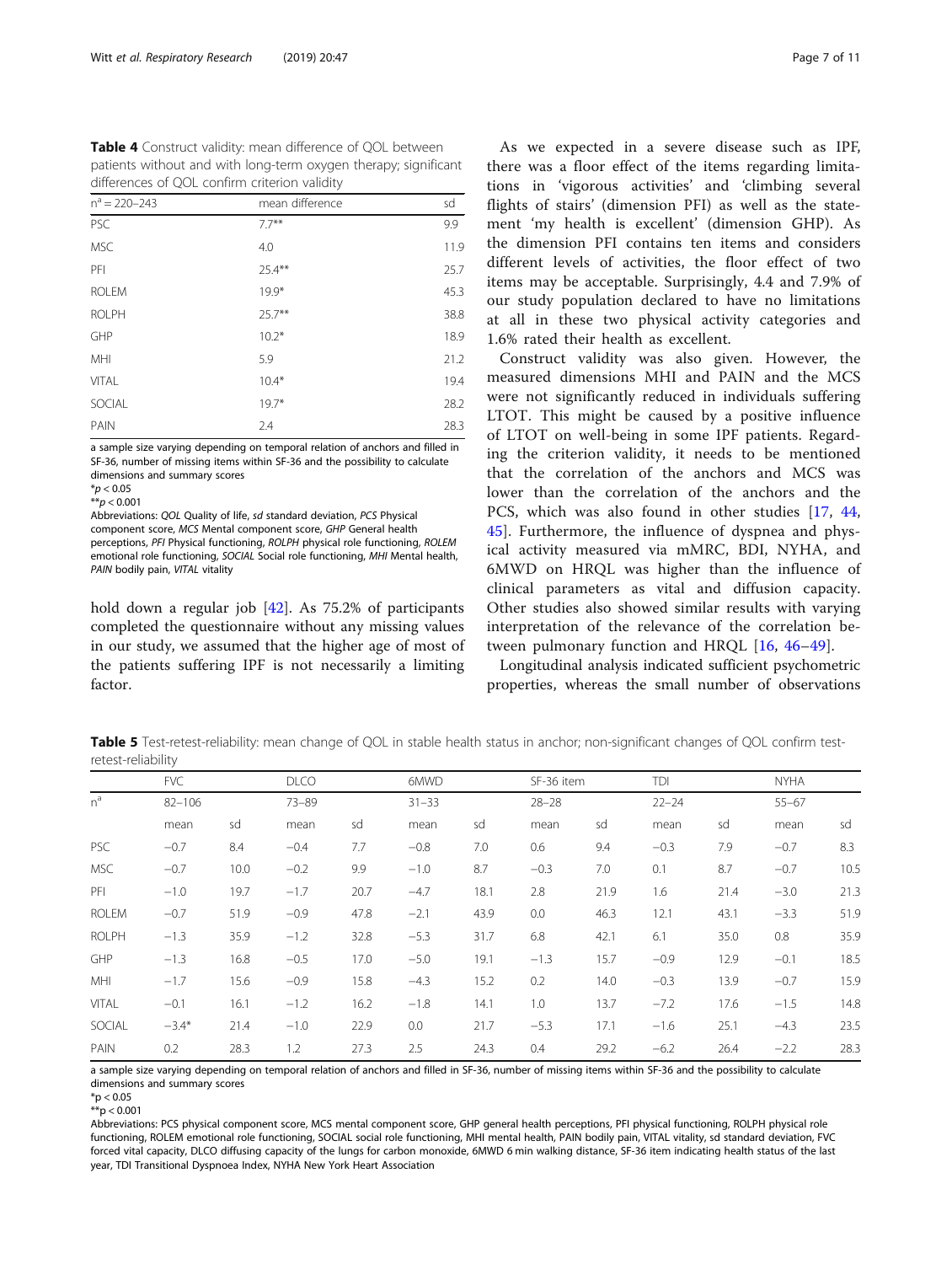<span id="page-6-0"></span>Table 4 Construct validity: mean difference of QOL between patients without and with long-term oxygen therapy; significant differences of QOL confirm criterion validity

| $n^a = 220 - 243$ | mean difference | sd   |
|-------------------|-----------------|------|
| PSC               | $7.7***$        | 9.9  |
| <b>MSC</b>        | 4.0             | 11.9 |
| PFI               | $25.4***$       | 25.7 |
| <b>ROLEM</b>      | $19.9*$         | 45.3 |
| <b>ROLPH</b>      | $25.7***$       | 38.8 |
| GHP               | $10.2*$         | 18.9 |
| MHI               | 5.9             | 21.2 |
| VITAL             | $10.4*$         | 19.4 |
| SOCIAL            | $19.7*$         | 28.2 |
| PAIN              | 2.4             | 28.3 |

a sample size varying depending on temporal relation of anchors and filled in SF-36, number of missing items within SF-36 and the possibility to calculate dimensions and summary scores

 $*p < 0.05$  $**p < 0.001$ 

Abbreviations: QOL Quality of life, sd standard deviation, PCS Physical component score, MCS Mental component score, GHP General health perceptions, PFI Physical functioning, ROLPH physical role functioning, ROLEM emotional role functioning, SOCIAL Social role functioning, MHI Mental health, PAIN bodily pain, VITAL vitality

hold down a regular job [[42\]](#page-10-0). As 75.2% of participants completed the questionnaire without any missing values in our study, we assumed that the higher age of most of the patients suffering IPF is not necessarily a limiting factor.

As we expected in a severe disease such as IPF, there was a floor effect of the items regarding limitations in 'vigorous activities' and 'climbing several flights of stairs' (dimension PFI) as well as the statement 'my health is excellent' (dimension GHP). As the dimension PFI contains ten items and considers different levels of activities, the floor effect of two items may be acceptable. Surprisingly, 4.4 and 7.9% of our study population declared to have no limitations at all in these two physical activity categories and 1.6% rated their health as excellent.

Construct validity was also given. However, the measured dimensions MHI and PAIN and the MCS were not significantly reduced in individuals suffering LTOT. This might be caused by a positive influence of LTOT on well-being in some IPF patients. Regarding the criterion validity, it needs to be mentioned that the correlation of the anchors and MCS was lower than the correlation of the anchors and the PCS, which was also found in other studies [[17](#page-9-0), [44](#page-10-0), [45\]](#page-10-0). Furthermore, the influence of dyspnea and physical activity measured via mMRC, BDI, NYHA, and 6MWD on HRQL was higher than the influence of clinical parameters as vital and diffusion capacity. Other studies also showed similar results with varying interpretation of the relevance of the correlation between pulmonary function and HRQL [[16,](#page-9-0) [46](#page-10-0)–[49\]](#page-10-0).

Longitudinal analysis indicated sufficient psychometric properties, whereas the small number of observations

Table 5 Test-retest-reliability: mean change of QOL in stable health status in anchor; non-significant changes of QOL confirm testretest-reliability

|              | <b>FVC</b> | $82 - 106$ |        | <b>DLCO</b><br>$73 - 89$ |        | 6MWD |           | SF-36 item |           | TDI  |        | <b>NYHA</b> |  |
|--------------|------------|------------|--------|--------------------------|--------|------|-----------|------------|-----------|------|--------|-------------|--|
| $n^a$        |            |            |        |                          |        |      | $28 - 28$ |            | $22 - 24$ |      |        |             |  |
|              | mean       | sd         | mean   | sd                       | mean   | sd   | mean      | sd         | mean      | sd   | mean   | sd          |  |
| <b>PSC</b>   | $-0.7$     | 8.4        | $-0.4$ | 7.7                      | $-0.8$ | 7.0  | 0.6       | 9.4        | $-0.3$    | 7.9  | $-0.7$ | 8.3         |  |
| <b>MSC</b>   | $-0.7$     | 10.0       | $-0.2$ | 9.9                      | $-1.0$ | 8.7  | $-0.3$    | 7.0        | 0.1       | 8.7  | $-0.7$ | 10.5        |  |
| PFI          | $-1.0$     | 19.7       | $-1.7$ | 20.7                     | $-4.7$ | 18.1 | 2.8       | 21.9       | 1.6       | 21.4 | $-3.0$ | 21.3        |  |
| <b>ROLEM</b> | $-0.7$     | 51.9       | $-0.9$ | 47.8                     | $-2.1$ | 43.9 | 0.0       | 46.3       | 12.1      | 43.1 | $-3.3$ | 51.9        |  |
| <b>ROLPH</b> | $-1.3$     | 35.9       | $-1.2$ | 32.8                     | $-5.3$ | 31.7 | 6.8       | 42.1       | 6.1       | 35.0 | 0.8    | 35.9        |  |
| GHP          | $-1.3$     | 16.8       | $-0.5$ | 17.0                     | $-5.0$ | 19.1 | $-1.3$    | 15.7       | $-0.9$    | 12.9 | $-0.1$ | 18.5        |  |
| MHI          | $-1.7$     | 15.6       | $-0.9$ | 15.8                     | $-4.3$ | 15.2 | 0.2       | 14.0       | $-0.3$    | 13.9 | $-0.7$ | 15.9        |  |
| <b>VITAL</b> | $-0.1$     | 16.1       | $-1.2$ | 16.2                     | $-1.8$ | 14.1 | 1.0       | 13.7       | $-7.2$    | 17.6 | $-1.5$ | 14.8        |  |
| SOCIAL       | $-3.4*$    | 21.4       | $-1.0$ | 22.9                     | 0.0    | 21.7 | $-5.3$    | 17.1       | $-1.6$    | 25.1 | $-4.3$ | 23.5        |  |
| PAIN         | 0.2        | 28.3       | 1.2    | 27.3                     | 2.5    | 24.3 | 0.4       | 29.2       | $-6.2$    | 26.4 | $-2.2$ | 28.3        |  |

a sample size varying depending on temporal relation of anchors and filled in SF-36, number of missing items within SF-36 and the possibility to calculate dimensions and summary scores

 $**p < 0.001$ 

Abbreviations: PCS physical component score, MCS mental component score, GHP general health perceptions, PFI physical functioning, ROLPH physical role functioning, ROLEM emotional role functioning, SOCIAL social role functioning, MHI mental health, PAIN bodily pain, VITAL vitality, sd standard deviation, FVC forced vital capacity, DLCO diffusing capacity of the lungs for carbon monoxide, 6MWD 6 min walking distance, SF-36 item indicating health status of the last year, TDI Transitional Dyspnoea Index, NYHA New York Heart Association

 $*$ p < 0.05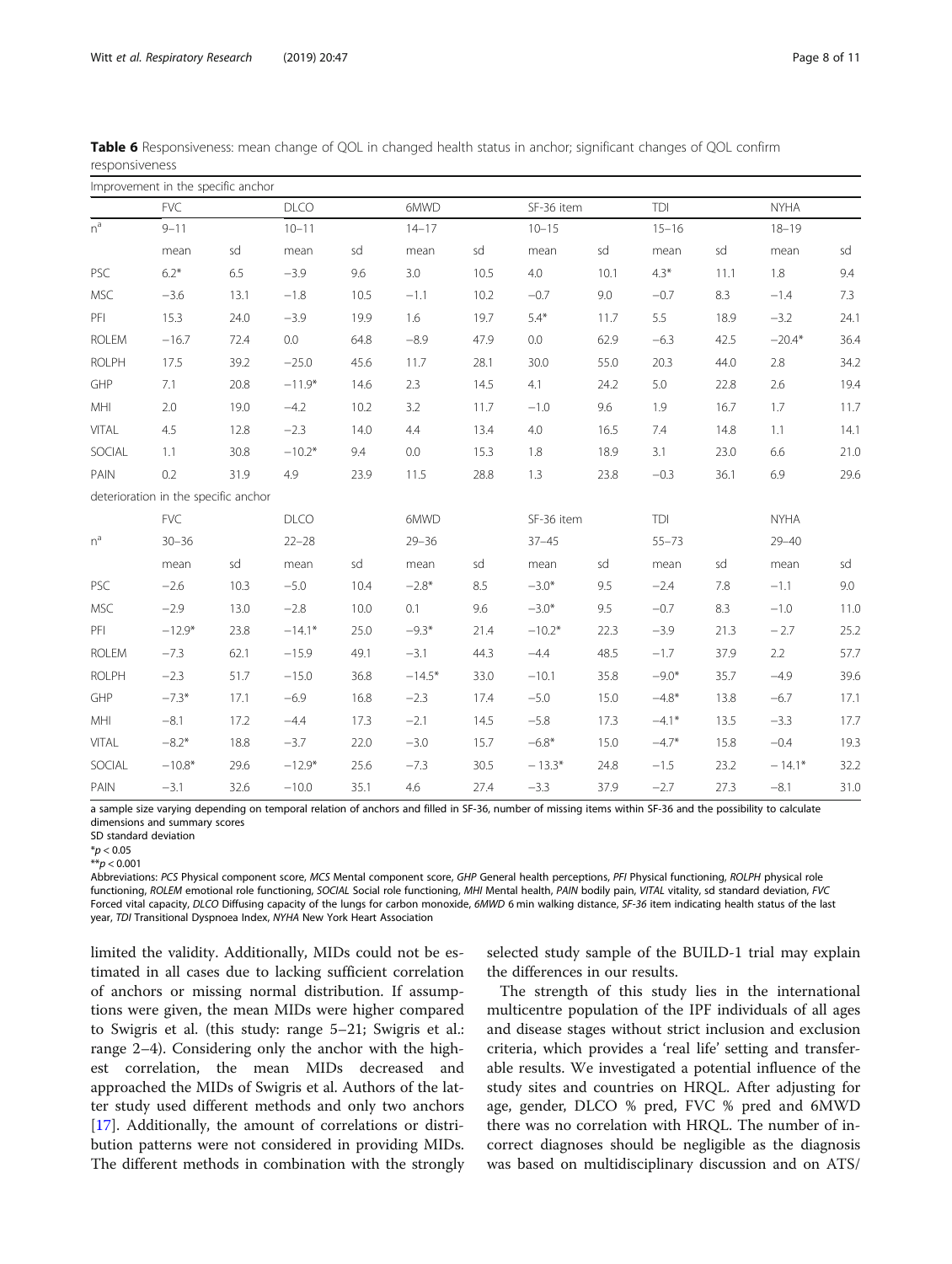|              | Improvement in the specific anchor   |      |             |           |          |           |            |           |         |           |             |           |  |
|--------------|--------------------------------------|------|-------------|-----------|----------|-----------|------------|-----------|---------|-----------|-------------|-----------|--|
|              | <b>FVC</b>                           |      |             |           | 6MWD     |           | SF-36 item |           | TDI     |           | <b>NYHA</b> |           |  |
| $n^a$        | $9 - 11$                             |      | $10 - 11$   |           |          | $14 - 17$ |            | $10 - 15$ |         | $15 - 16$ |             | $18 - 19$ |  |
|              | mean                                 | sd   | mean        | sd        | mean     | sd        | mean       | sd        | mean    | sd        | mean        | sd        |  |
| PSC          | $6.2*$                               | 6.5  | $-3.9$      | 9.6       | 3.0      | 10.5      | 4.0        | 10.1      | $4.3*$  | 11.1      | 1.8         | 9.4       |  |
| <b>MSC</b>   | $-3.6$                               | 13.1 | $-1.8$      | 10.5      | $-1.1$   | 10.2      | $-0.7$     | 9.0       | $-0.7$  | 8.3       | $-1.4$      | 7.3       |  |
| PFI          | 15.3                                 | 24.0 | $-3.9$      | 19.9      | 1.6      | 19.7      | $5.4*$     | 11.7      | 5.5     | 18.9      | $-3.2$      | 24.1      |  |
| <b>ROLEM</b> | $-16.7$                              | 72.4 | 0.0         | 64.8      | $-8.9$   | 47.9      | 0.0        | 62.9      | $-6.3$  | 42.5      | $-20.4*$    | 36.4      |  |
| <b>ROLPH</b> | 17.5                                 | 39.2 | $-25.0$     | 45.6      | 11.7     | 28.1      | 30.0       | 55.0      | 20.3    | 44.0      | 2.8         | 34.2      |  |
| GHP          | 7.1                                  | 20.8 | $-11.9*$    | 14.6      | 2.3      | 14.5      | 4.1        | 24.2      | 5.0     | 22.8      | 2.6         | 19.4      |  |
| MHI          | 2.0                                  | 19.0 | $-4.2$      | 10.2      | 3.2      | 11.7      | $-1.0$     | 9.6       | 1.9     | 16.7      | 1.7         | 11.7      |  |
| <b>VITAL</b> | 4.5                                  | 12.8 | $-2.3$      | 14.0      | 4.4      | 13.4      | 4.0        | 16.5      | 7.4     | 14.8      | 1.1         | 14.1      |  |
| SOCIAL       | 1.1                                  | 30.8 | $-10.2*$    | 9.4       | 0.0      | 15.3      | 1.8        | 18.9      | 3.1     | 23.0      | 6.6         | 21.0      |  |
| PAIN         | 0.2                                  | 31.9 | 4.9         | 23.9      | 11.5     | 28.8      | 1.3        | 23.8      | $-0.3$  | 36.1      | 6.9         | 29.6      |  |
|              | deterioration in the specific anchor |      |             |           |          |           |            |           |         |           |             |           |  |
|              | <b>FVC</b>                           |      | <b>DLCO</b> |           | 6MWD     |           | SF-36 item |           | TDI     |           | <b>NYHA</b> |           |  |
| $n^a$        | $30 - 36$                            |      |             | $22 - 28$ |          | $29 - 36$ |            | $37 - 45$ |         |           | $29 - 40$   |           |  |
|              | mean                                 | sd   | mean        | sd        | mean     | sd        | mean       | sd        | mean    | sd        | mean        | sd        |  |
| PSC          | $-2.6$                               | 10.3 | $-5.0$      | 10.4      | $-2.8*$  | 8.5       | $-3.0*$    | 9.5       | $-2.4$  | 7.8       | $-1.1$      | 9.0       |  |
| <b>MSC</b>   | $-2.9$                               | 13.0 | $-2.8$      | 10.0      | 0.1      | 9.6       | $-3.0*$    | 9.5       | $-0.7$  | 8.3       | $-1.0$      | 11.0      |  |
| PFI          | $-12.9*$                             | 23.8 | $-14.1*$    | 25.0      | $-9.3*$  | 21.4      | $-10.2*$   | 22.3      | $-3.9$  | 21.3      | $-2.7$      | 25.2      |  |
| <b>ROLEM</b> | $-7.3$                               | 62.1 | $-15.9$     | 49.1      | $-3.1$   | 44.3      | $-4.4$     | 48.5      | $-1.7$  | 37.9      | 2.2         | 57.7      |  |
| <b>ROLPH</b> | $-2.3$                               | 51.7 | $-15.0$     | 36.8      | $-14.5*$ | 33.0      | $-10.1$    | 35.8      | $-9.0*$ | 35.7      | $-4.9$      | 39.6      |  |
| GHP          | $-7.3*$                              | 17.1 | $-6.9$      | 16.8      | $-2.3$   | 17.4      | $-5.0$     | 15.0      | $-4.8*$ | 13.8      | $-6.7$      | 17.1      |  |
| MHI          | $-8.1$                               | 17.2 | $-4.4$      | 17.3      | $-2.1$   | 14.5      | $-5.8$     | 17.3      | $-4.1*$ | 13.5      | $-3.3$      | 17.7      |  |
| <b>VITAL</b> | $-8.2*$                              | 18.8 | $-3.7$      | 22.0      | $-3.0$   | 15.7      | $-6.8*$    | 15.0      | $-4.7*$ | 15.8      | $-0.4$      | 19.3      |  |
| SOCIAL       | $-10.8*$                             | 29.6 | $-12.9*$    | 25.6      | $-7.3$   | 30.5      | $-13.3*$   | 24.8      | $-1.5$  | 23.2      | $-14.1*$    | 32.2      |  |
| PAIN         | $-3.1$                               | 32.6 | $-10.0$     | 35.1      | 4.6      | 27.4      | $-3.3$     | 37.9      | $-2.7$  | 27.3      | $-8.1$      | 31.0      |  |

<span id="page-7-0"></span>Table 6 Responsiveness: mean change of QOL in changed health status in anchor; significant changes of QOL confirm responsiveness

a sample size varying depending on temporal relation of anchors and filled in SF-36, number of missing items within SF-36 and the possibility to calculate dimensions and summary scores

 $**p < 0.001$ 

Abbreviations: PCS Physical component score, MCS Mental component score, GHP General health perceptions, PFI Physical functioning, ROLPH physical role functioning, ROLEM emotional role functioning, SOCIAL Social role functioning, MHI Mental health, PAIN bodily pain, VITAL vitality, sd standard deviation, FVC Forced vital capacity, DLCO Diffusing capacity of the lungs for carbon monoxide, 6MWD 6 min walking distance, SF-36 item indicating health status of the last year, TDI Transitional Dyspnoea Index, NYHA New York Heart Association

limited the validity. Additionally, MIDs could not be estimated in all cases due to lacking sufficient correlation of anchors or missing normal distribution. If assumptions were given, the mean MIDs were higher compared to Swigris et al. (this study: range 5–21; Swigris et al.: range 2–4). Considering only the anchor with the highest correlation, the mean MIDs decreased and approached the MIDs of Swigris et al. Authors of the latter study used different methods and only two anchors [[17\]](#page-9-0). Additionally, the amount of correlations or distribution patterns were not considered in providing MIDs. The different methods in combination with the strongly selected study sample of the BUILD-1 trial may explain the differences in our results.

The strength of this study lies in the international multicentre population of the IPF individuals of all ages and disease stages without strict inclusion and exclusion criteria, which provides a 'real life' setting and transferable results. We investigated a potential influence of the study sites and countries on HRQL. After adjusting for age, gender, DLCO % pred, FVC % pred and 6MWD there was no correlation with HRQL. The number of incorrect diagnoses should be negligible as the diagnosis was based on multidisciplinary discussion and on ATS/

SD standard deviation

 $*$ *p* < 0.05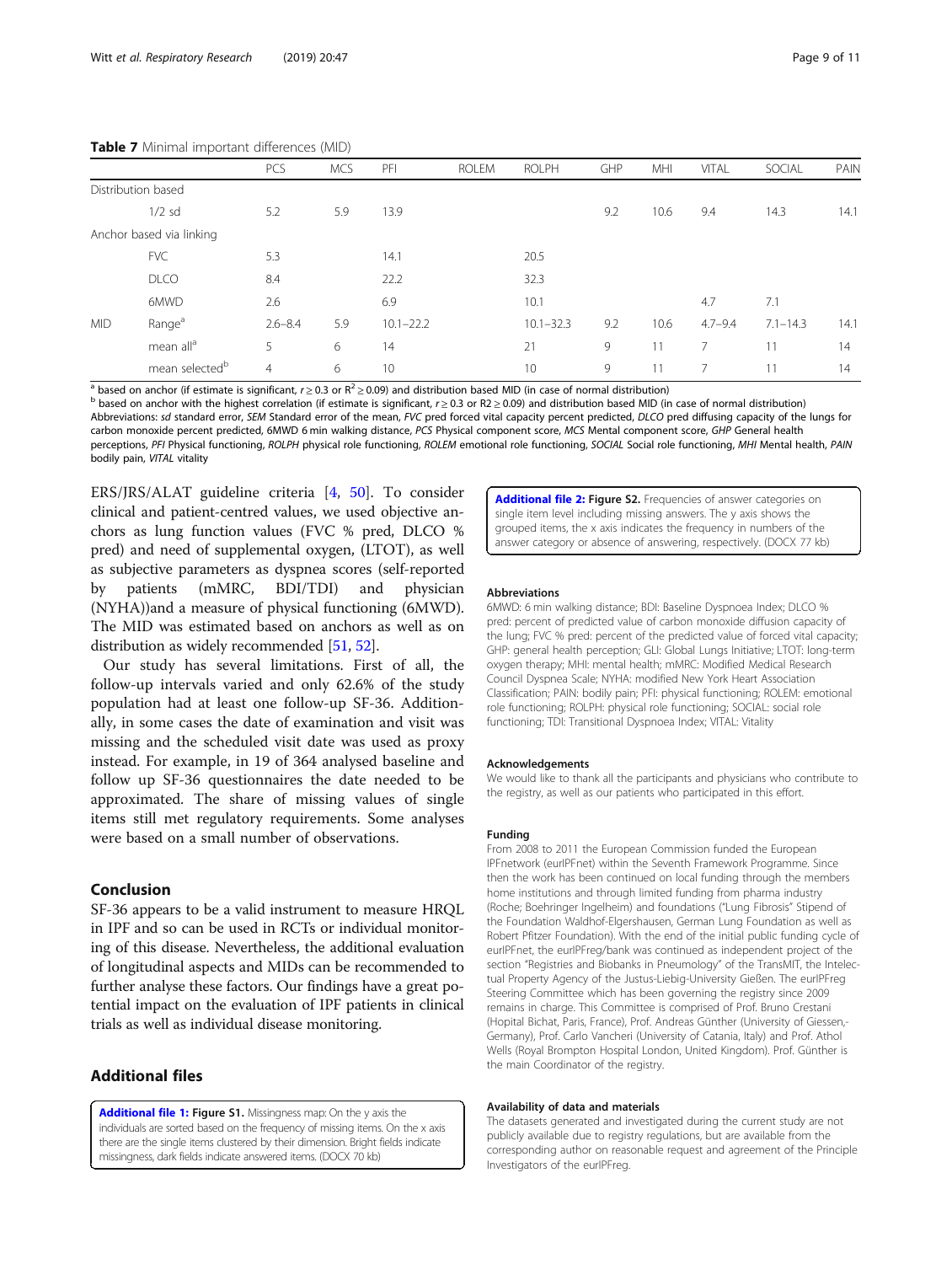|                    |                            | PCS            | <b>MCS</b> | PFI           | <b>ROLEM</b> | <b>ROLPH</b>  | <b>GHP</b> | <b>MHI</b> | VITAL       | SOCIAL       | PAIN |
|--------------------|----------------------------|----------------|------------|---------------|--------------|---------------|------------|------------|-------------|--------------|------|
| Distribution based |                            |                |            |               |              |               |            |            |             |              |      |
|                    | $1/2$ sd                   | 5.2            | 5.9        | 13.9          |              |               | 9.2        | 10.6       | 9.4         | 14.3         | 14.1 |
|                    | Anchor based via linking   |                |            |               |              |               |            |            |             |              |      |
|                    | <b>FVC</b>                 | 5.3            |            | 14.1          |              | 20.5          |            |            |             |              |      |
|                    | <b>DLCO</b>                | 8.4            |            | 22.2          |              | 32.3          |            |            |             |              |      |
|                    | 6MWD                       | 2.6            |            | 6.9           |              | 10.1          |            |            | 4.7         | 7.1          |      |
| <b>MID</b>         | Range <sup>a</sup>         | $2.6 - 8.4$    | 5.9        | $10.1 - 22.2$ |              | $10.1 - 32.3$ | 9.2        | 10.6       | $4.7 - 9.4$ | $7.1 - 14.3$ | 14.1 |
|                    | mean all <sup>a</sup>      | 5              | 6          | 14            |              | 21            | 9          | 11         |             | 11           | 14   |
|                    | mean selected <sup>b</sup> | $\overline{4}$ | 6          | 10            |              | 10            | 9          | 11         |             | 11           | 14   |

#### <span id="page-8-0"></span>Table 7 Minimal important differences (MID)

<sup>a</sup> based on anchor (if estimate is significant,  $r \ge 0.3$  or  $R^2 \ge 0.09$ ) and distribution based MID (in case of normal distribution)<br><sup>b</sup> based on anchor with the highest correlation (if estimate is significant,  $r \ge 0.$ Abbreviations: sd standard error, SEM Standard error of the mean, FVC pred forced vital capacity percent predicted, DLCO pred diffusing capacity of the lungs for carbon monoxide percent predicted, 6MWD 6 min walking distance, PCS Physical component score, MCS Mental component score, GHP General health perceptions, PFI Physical functioning, ROLPH physical role functioning, ROLEM emotional role functioning, SOCIAL Social role functioning, MHI Mental health, PAIN bodily pain, VITAL vitality

ERS/JRS/ALAT guideline criteria [\[4,](#page-9-0) [50\]](#page-10-0). To consider clinical and patient-centred values, we used objective anchors as lung function values (FVC % pred, DLCO % pred) and need of supplemental oxygen, (LTOT), as well as subjective parameters as dyspnea scores (self-reported by patients (mMRC, BDI/TDI) and physician (NYHA))and a measure of physical functioning (6MWD). The MID was estimated based on anchors as well as on distribution as widely recommended [\[51,](#page-10-0) [52](#page-10-0)].

Our study has several limitations. First of all, the follow-up intervals varied and only 62.6% of the study population had at least one follow-up SF-36. Additionally, in some cases the date of examination and visit was missing and the scheduled visit date was used as proxy instead. For example, in 19 of 364 analysed baseline and follow up SF-36 questionnaires the date needed to be approximated. The share of missing values of single items still met regulatory requirements. Some analyses were based on a small number of observations.

#### Conclusion

SF-36 appears to be a valid instrument to measure HRQL in IPF and so can be used in RCTs or individual monitoring of this disease. Nevertheless, the additional evaluation of longitudinal aspects and MIDs can be recommended to further analyse these factors. Our findings have a great potential impact on the evaluation of IPF patients in clinical trials as well as individual disease monitoring.

#### Additional files

[Additional file 1:](https://doi.org/10.1186/s12931-019-1010-5) Figure S1. Missingness map: On the y axis the individuals are sorted based on the frequency of missing items. On the x axis there are the single items clustered by their dimension. Bright fields indicate missingness, dark fields indicate answered items. (DOCX 70 kb)

[Additional file 2:](https://doi.org/10.1186/s12931-019-1010-5) Figure S2. Frequencies of answer categories on single item level including missing answers. The y axis shows the grouped items, the x axis indicates the frequency in numbers of the answer category or absence of answering, respectively. (DOCX 77 kb)

#### Abbreviations

6MWD: 6 min walking distance; BDI: Baseline Dyspnoea Index; DLCO % pred: percent of predicted value of carbon monoxide diffusion capacity of the lung; FVC % pred: percent of the predicted value of forced vital capacity; GHP: general health perception; GLI: Global Lungs Initiative; LTOT: long-term oxygen therapy; MHI: mental health; mMRC: Modified Medical Research Council Dyspnea Scale; NYHA: modified New York Heart Association Classification; PAIN: bodily pain; PFI: physical functioning; ROLEM: emotional role functioning; ROLPH: physical role functioning; SOCIAL: social role functioning; TDI: Transitional Dyspnoea Index; VITAL: Vitality

#### **Acknowledgements**

We would like to thank all the participants and physicians who contribute to the registry, as well as our patients who participated in this effort.

#### Funding

From 2008 to 2011 the European Commission funded the European IPFnetwork (eurIPFnet) within the Seventh Framework Programme. Since then the work has been continued on local funding through the members home institutions and through limited funding from pharma industry (Roche; Boehringer Ingelheim) and foundations ("Lung Fibrosis" Stipend of the Foundation Waldhof-Elgershausen, German Lung Foundation as well as Robert Pfitzer Foundation). With the end of the initial public funding cycle of eurIPFnet, the eurIPFreg/bank was continued as independent project of the section "Registries and Biobanks in Pneumology" of the TransMIT, the Intelectual Property Agency of the Justus-Liebig-University Gießen. The eurIPFreg Steering Committee which has been governing the registry since 2009 remains in charge. This Committee is comprised of Prof. Bruno Crestani (Hopital Bichat, Paris, France), Prof. Andreas Günther (University of Giessen,- Germany), Prof. Carlo Vancheri (University of Catania, Italy) and Prof. Athol Wells (Royal Brompton Hospital London, United Kingdom). Prof. Günther is the main Coordinator of the registry.

#### Availability of data and materials

The datasets generated and investigated during the current study are not publicly available due to registry regulations, but are available from the corresponding author on reasonable request and agreement of the Principle Investigators of the eurIPFreg.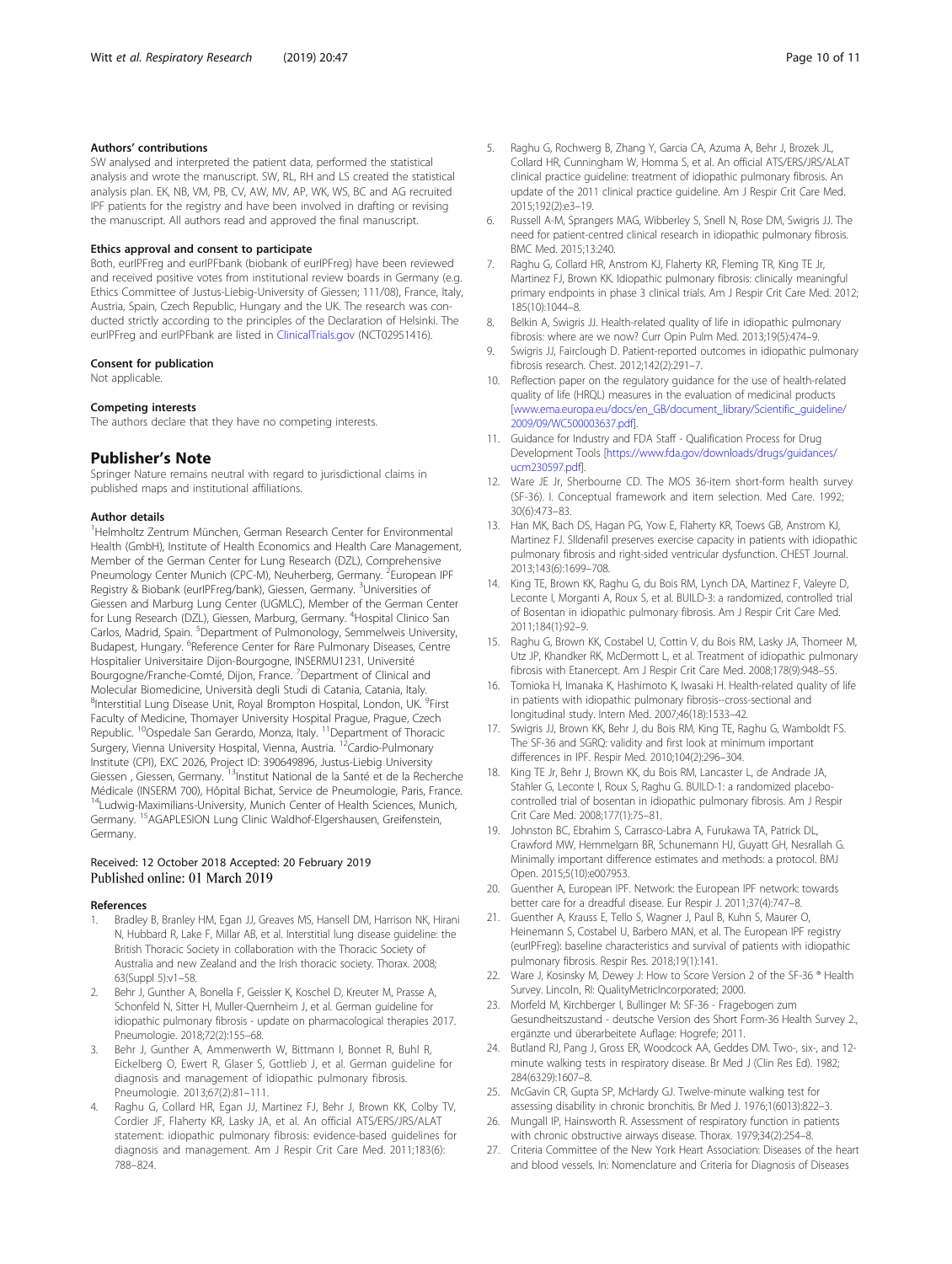#### <span id="page-9-0"></span>Authors' contributions

SW analysed and interpreted the patient data, performed the statistical analysis and wrote the manuscript. SW, RL, RH and LS created the statistical analysis plan. EK, NB, VM, PB, CV, AW, MV, AP, WK, WS, BC and AG recruited IPF patients for the registry and have been involved in drafting or revising the manuscript. All authors read and approved the final manuscript.

#### Ethics approval and consent to participate

Both, eurIPFreg and eurIPFbank (biobank of eurIPFreg) have been reviewed and received positive votes from institutional review boards in Germany (e.g. Ethics Committee of Justus-Liebig-University of Giessen; 111/08), France, Italy, Austria, Spain, Czech Republic, Hungary and the UK. The research was conducted strictly according to the principles of the Declaration of Helsinki. The eurIPFreg and eurIPFbank are listed in [ClinicalTrials.gov](http://clinicaltrials.gov) (NCT02951416).

#### Consent for publication

Not applicable.

#### Competing interests

The authors declare that they have no competing interests.

#### Publisher's Note

Springer Nature remains neutral with regard to jurisdictional claims in published maps and institutional affiliations.

#### Author details

1 Helmholtz Zentrum München, German Research Center for Environmental Health (GmbH), Institute of Health Economics and Health Care Management, Member of the German Center for Lung Research (DZL), Comprehensive Pneumology Center Munich (CPC-M), Neuherberg, Germany. <sup>2</sup>European IPF Registry & Biobank (eurlPFreg/bank), Giessen, Germany. <sup>3</sup>Universities of Giessen and Marburg Lung Center (UGMLC), Member of the German Center for Lung Research (DZL), Giessen, Marburg, Germany. <sup>4</sup>Hospital Clinico San Carlos, Madrid, Spain. <sup>5</sup>Department of Pulmonology, Semmelweis University, Budapest, Hungary. <sup>6</sup>Reference Center for Rare Pulmonary Diseases, Centre Hospitalier Universitaire Dijon-Bourgogne, INSERMU1231, Université Bourgogne/Franche-Comté, Dijon, France. <sup>7</sup>Department of Clinical and Molecular Biomedicine, Università degli Studi di Catania, Catania, Italy. <sup>8</sup>Interstitial Lung Disease Unit, Royal Brompton Hospital, London, UK. <sup>9</sup>First Faculty of Medicine, Thomayer University Hospital Prague, Prague, Czech Republic. <sup>10</sup>Ospedale San Gerardo, Monza, Italy. <sup>11</sup>Department of Thoracic Surgery, Vienna University Hospital, Vienna, Austria. <sup>12</sup>Cardio-Pulmonary Institute (CPI), EXC 2026, Project ID: 390649896, Justus-Liebig University Giessen , Giessen, Germany. 13Institut National de la Santé et de la Recherche Médicale (INSERM 700), Hôpital Bichat, Service de Pneumologie, Paris, France. <sup>14</sup>Ludwig-Maximilians-University, Munich Center of Health Sciences, Munich, Germany. 15AGAPLESION Lung Clinic Waldhof-Elgershausen, Greifenstein, Germany.

#### Received: 12 October 2018 Accepted: 20 February 2019 Published online: 01 March 2019

#### References

- 1. Bradley B, Branley HM, Egan JJ, Greaves MS, Hansell DM, Harrison NK, Hirani N, Hubbard R, Lake F, Millar AB, et al. Interstitial lung disease guideline: the British Thoracic Society in collaboration with the Thoracic Society of Australia and new Zealand and the Irish thoracic society. Thorax. 2008; 63(Suppl 5):v1–58.
- 2. Behr J, Gunther A, Bonella F, Geissler K, Koschel D, Kreuter M, Prasse A, Schonfeld N, Sitter H, Muller-Quernheim J, et al. German guideline for idiopathic pulmonary fibrosis - update on pharmacological therapies 2017. Pneumologie. 2018;72(2):155–68.
- 3. Behr J, Gunther A, Ammenwerth W, Bittmann I, Bonnet R, Buhl R, Eickelberg O, Ewert R, Glaser S, Gottlieb J, et al. German guideline for diagnosis and management of idiopathic pulmonary fibrosis. Pneumologie. 2013;67(2):81–111.
- Raghu G, Collard HR, Egan JJ, Martinez FJ, Behr J, Brown KK, Colby TV, Cordier JF, Flaherty KR, Lasky JA, et al. An official ATS/ERS/JRS/ALAT statement: idiopathic pulmonary fibrosis: evidence-based guidelines for diagnosis and management. Am J Respir Crit Care Med. 2011;183(6): 788–824.
- 5. Raghu G, Rochwerg B, Zhang Y, Garcia CA, Azuma A, Behr J, Brozek JL, Collard HR, Cunningham W, Homma S, et al. An official ATS/ERS/JRS/ALAT clinical practice guideline: treatment of idiopathic pulmonary fibrosis. An update of the 2011 clinical practice guideline. Am J Respir Crit Care Med. 2015;192(2):e3–19.
- 6. Russell A-M, Sprangers MAG, Wibberley S, Snell N, Rose DM, Swigris JJ. The need for patient-centred clinical research in idiopathic pulmonary fibrosis. BMC Med. 2015;13:240.
- 7. Raghu G, Collard HR, Anstrom KJ, Flaherty KR, Fleming TR, King TE Jr, Martinez FJ, Brown KK. Idiopathic pulmonary fibrosis: clinically meaningful primary endpoints in phase 3 clinical trials. Am J Respir Crit Care Med. 2012; 185(10):1044–8.
- 8. Belkin A, Swigris JJ. Health-related quality of life in idiopathic pulmonary fibrosis: where are we now? Curr Opin Pulm Med. 2013;19(5):474–9.
- 9. Swigris JJ, Fairclough D. Patient-reported outcomes in idiopathic pulmonary fibrosis research. Chest. 2012;142(2):291–7.
- 10. Reflection paper on the regulatory guidance for the use of health-related quality of life (HRQL) measures in the evaluation of medicinal products [[www.ema.europa.eu/docs/en\\_GB/document\\_library/Scientific\\_guideline/](http://www.ema.europa.eu/docs/en_GB/document_library/Scientific_guideline/2009/09/WC500003637.pdf) [2009/09/WC500003637.pdf](http://www.ema.europa.eu/docs/en_GB/document_library/Scientific_guideline/2009/09/WC500003637.pdf)].
- 11. Guidance for Industry and FDA Staff Qualification Process for Drug Development Tools [[https://www.fda.gov/downloads/drugs/guidances/](https://www.fda.gov/downloads/drugs/guidances/ucm230597.pdf) [ucm230597.pdf\]](https://www.fda.gov/downloads/drugs/guidances/ucm230597.pdf).
- 12. Ware JE Jr, Sherbourne CD. The MOS 36-item short-form health survey (SF-36). I. Conceptual framework and item selection. Med Care. 1992; 30(6):473–83.
- 13. Han MK, Bach DS, Hagan PG, Yow E, Flaherty KR, Toews GB, Anstrom KJ, Martinez FJ. SIldenafil preserves exercise capacity in patients with idiopathic pulmonary fibrosis and right-sided ventricular dysfunction. CHEST Journal. 2013;143(6):1699–708.
- 14. King TE, Brown KK, Raghu G, du Bois RM, Lynch DA, Martinez F, Valeyre D, Leconte I, Morganti A, Roux S, et al. BUILD-3: a randomized, controlled trial of Bosentan in idiopathic pulmonary fibrosis. Am J Respir Crit Care Med. 2011;184(1):92–9.
- 15. Raghu G, Brown KK, Costabel U, Cottin V, du Bois RM, Lasky JA, Thomeer M, Utz JP, Khandker RK, McDermott L, et al. Treatment of idiopathic pulmonary fibrosis with Etanercept. Am J Respir Crit Care Med. 2008;178(9):948–55.
- 16. Tomioka H, Imanaka K, Hashimoto K, Iwasaki H. Health-related quality of life in patients with idiopathic pulmonary fibrosis--cross-sectional and longitudinal study. Intern Med. 2007;46(18):1533–42.
- 17. Swigris JJ, Brown KK, Behr J, du Bois RM, King TE, Raghu G, Wamboldt FS. The SF-36 and SGRQ: validity and first look at minimum important differences in IPF. Respir Med. 2010;104(2):296–304.
- 18. King TE Jr, Behr J, Brown KK, du Bois RM, Lancaster L, de Andrade JA, Stahler G, Leconte I, Roux S, Raghu G. BUILD-1: a randomized placebocontrolled trial of bosentan in idiopathic pulmonary fibrosis. Am J Respir Crit Care Med. 2008;177(1):75–81.
- 19. Johnston BC, Ebrahim S, Carrasco-Labra A, Furukawa TA, Patrick DL, Crawford MW, Hemmelgarn BR, Schunemann HJ, Guyatt GH, Nesrallah G. Minimally important difference estimates and methods: a protocol. BMJ Open. 2015;5(10):e007953.
- 20. Guenther A, European IPF. Network: the European IPF network: towards better care for a dreadful disease. Eur Respir J. 2011;37(4):747–8.
- 21. Guenther A, Krauss E, Tello S, Wagner J, Paul B, Kuhn S, Maurer O, Heinemann S, Costabel U, Barbero MAN, et al. The European IPF registry (eurIPFreg): baseline characteristics and survival of patients with idiopathic pulmonary fibrosis. Respir Res. 2018;19(1):141.
- 22. Ware J, Kosinsky M, Dewey J: How to Score Version 2 of the SF-36 ® Health Survey. Lincoln, RI: QualityMetricIncorporated; 2000.
- 23. Morfeld M, Kirchberger I, Bullinger M: SF-36 Fragebogen zum Gesundheitszustand - deutsche Version des Short Form-36 Health Survey 2., ergänzte und überarbeitete Auflage: Hogrefe; 2011.
- 24. Butland RJ, Pang J, Gross ER, Woodcock AA, Geddes DM. Two-, six-, and 12 minute walking tests in respiratory disease. Br Med J (Clin Res Ed). 1982; 284(6329):1607–8.
- 25. McGavin CR, Gupta SP, McHardy GJ. Twelve-minute walking test for assessing disability in chronic bronchitis. Br Med J. 1976;1(6013):822–3.
- 26. Mungall IP, Hainsworth R. Assessment of respiratory function in patients with chronic obstructive airways disease. Thorax. 1979;34(2):254–8.
- 27. Criteria Committee of the New York Heart Association: Diseases of the heart and blood vessels. In: Nomenclature and Criteria for Diagnosis of Diseases